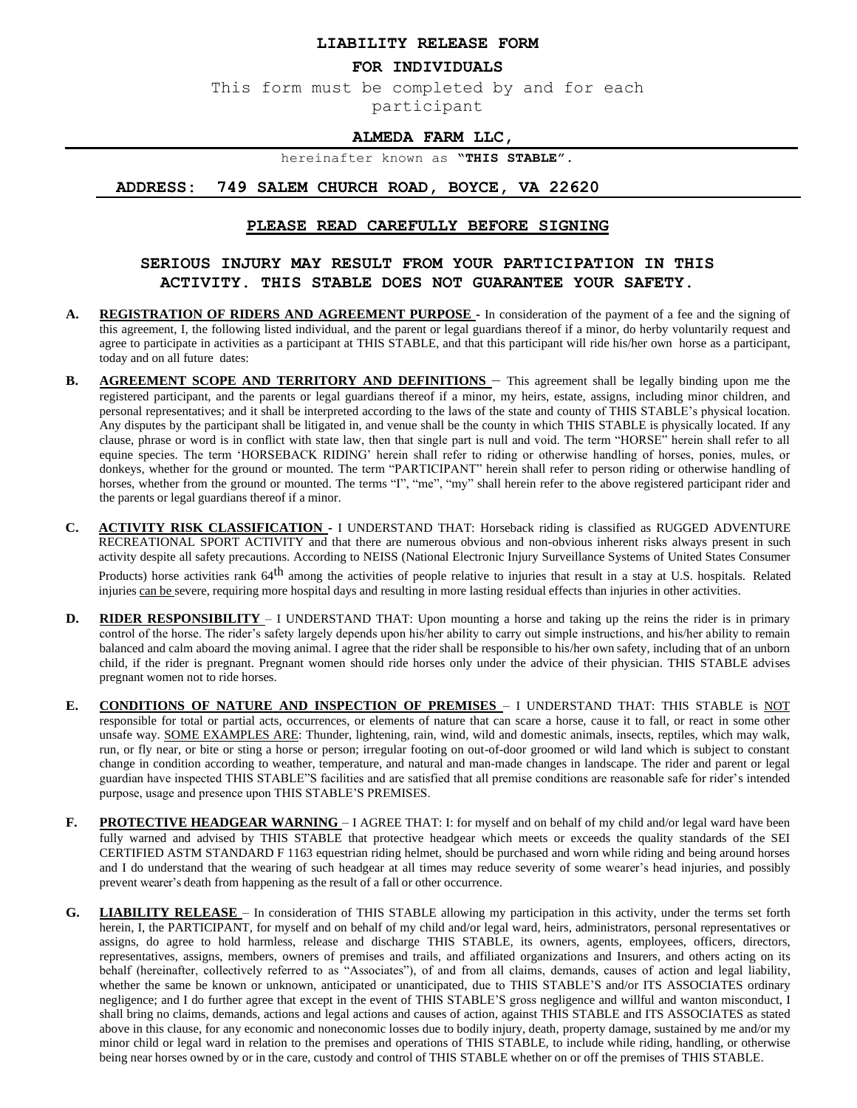#### **LIABILITY RELEASE FORM**

#### **FOR INDIVIDUALS**

This form must be completed by and for each participant

## **ALMEDA FARM LLC,**

hereinafter known as **"THIS STABLE".**

### **ADDRESS: 749 SALEM CHURCH ROAD, BOYCE, VA 22620**

### **PLEASE READ CAREFULLY BEFORE SIGNING**

# **SERIOUS INJURY MAY RESULT FROM YOUR PARTICIPATION IN THIS ACTIVITY. THIS STABLE DOES NOT GUARANTEE YOUR SAFETY.**

- **A. REGISTRATION OF RIDERS AND AGREEMENT PURPOSE -** In consideration of the payment of a fee and the signing of this agreement, I, the following listed individual, and the parent or legal guardians thereof if a minor, do herby voluntarily request and agree to participate in activities as a participant at THIS STABLE, and that this participant will ride his/her own horse as a participant, today and on all future dates:
- **B. AGREEMENT SCOPE AND TERRITORY AND DEFINITIONS** This agreement shall be legally binding upon me the registered participant, and the parents or legal guardians thereof if a minor, my heirs, estate, assigns, including minor children, and personal representatives; and it shall be interpreted according to the laws of the state and county of THIS STABLE's physical location. Any disputes by the participant shall be litigated in, and venue shall be the county in which THIS STABLE is physically located. If any clause, phrase or word is in conflict with state law, then that single part is null and void. The term "HORSE" herein shall refer to all equine species. The term 'HORSEBACK RIDING' herein shall refer to riding or otherwise handling of horses, ponies, mules, or donkeys, whether for the ground or mounted. The term "PARTICIPANT" herein shall refer to person riding or otherwise handling of horses, whether from the ground or mounted. The terms "I", "me", "my" shall herein refer to the above registered participant rider and the parents or legal guardians thereof if a minor.
- **C. ACTIVITY RISK CLASSIFICATION -** I UNDERSTAND THAT: Horseback riding is classified as RUGGED ADVENTURE RECREATIONAL SPORT ACTIVITY and that there are numerous obvious and non-obvious inherent risks always present in such activity despite all safety precautions. According to NEISS (National Electronic Injury Surveillance Systems of United States Consumer Products) horse activities rank 64<sup>th</sup> among the activities of people relative to injuries that result in a stay at U.S. hospitals. Related injuries can be severe, requiring more hospital days and resulting in more lasting residual effects than injuries in other activities.
- **D. RIDER RESPONSIBILITY** I UNDERSTAND THAT: Upon mounting a horse and taking up the reins the rider is in primary control of the horse. The rider's safety largely depends upon his/her ability to carry out simple instructions, and his/her ability to remain balanced and calm aboard the moving animal. I agree that the rider shall be responsible to his/her own safety, including that of an unborn child, if the rider is pregnant. Pregnant women should ride horses only under the advice of their physician. THIS STABLE advises pregnant women not to ride horses.
- **E. CONDITIONS OF NATURE AND INSPECTION OF PREMISES** I UNDERSTAND THAT: THIS STABLE is NOT responsible for total or partial acts, occurrences, or elements of nature that can scare a horse, cause it to fall, or react in some other unsafe way. SOME EXAMPLES ARE: Thunder, lightening, rain, wind, wild and domestic animals, insects, reptiles, which may walk, run, or fly near, or bite or sting a horse or person; irregular footing on out-of-door groomed or wild land which is subject to constant change in condition according to weather, temperature, and natural and man-made changes in landscape. The rider and parent or legal guardian have inspected THIS STABLE"S facilities and are satisfied that all premise conditions are reasonable safe for rider's intended purpose, usage and presence upon THIS STABLE'S PREMISES.
- **F. PROTECTIVE HEADGEAR WARNING** I AGREE THAT: I: for myself and on behalf of my child and/or legal ward have been fully warned and advised by THIS STABLE that protective headgear which meets or exceeds the quality standards of the SEI CERTIFIED ASTM STANDARD F 1163 equestrian riding helmet, should be purchased and worn while riding and being around horses and I do understand that the wearing of such headgear at all times may reduce severity of some wearer's head injuries, and possibly prevent wearer's death from happening as the result of a fall or other occurrence.
- **G. LIABILITY RELEASE**  In consideration of THIS STABLE allowing my participation in this activity, under the terms set forth herein, I, the PARTICIPANT, for myself and on behalf of my child and/or legal ward, heirs, administrators, personal representatives or assigns, do agree to hold harmless, release and discharge THIS STABLE, its owners, agents, employees, officers, directors, representatives, assigns, members, owners of premises and trails, and affiliated organizations and Insurers, and others acting on its behalf (hereinafter, collectively referred to as "Associates"), of and from all claims, demands, causes of action and legal liability, whether the same be known or unknown, anticipated or unanticipated, due to THIS STABLE'S and/or ITS ASSOCIATES ordinary negligence; and I do further agree that except in the event of THIS STABLE'S gross negligence and willful and wanton misconduct, I shall bring no claims, demands, actions and legal actions and causes of action, against THIS STABLE and ITS ASSOCIATES as stated above in this clause, for any economic and noneconomic losses due to bodily injury, death, property damage, sustained by me and/or my minor child or legal ward in relation to the premises and operations of THIS STABLE, to include while riding, handling, or otherwise being near horses owned by or in the care, custody and control of THIS STABLE whether on or off the premises of THIS STABLE.